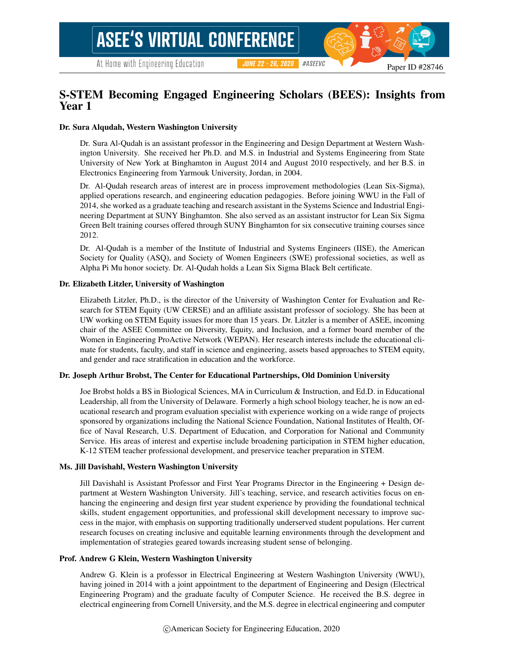Paper ID #28746

## S-STEM Becoming Engaged Engineering Scholars (BEES): Insights from Year 1

**JUNE 22 - 26, 2020** 

#### Dr. Sura Alqudah, Western Washington University

Dr. Sura Al-Qudah is an assistant professor in the Engineering and Design Department at Western Washington University. She received her Ph.D. and M.S. in Industrial and Systems Engineering from State University of New York at Binghamton in August 2014 and August 2010 respectively, and her B.S. in Electronics Engineering from Yarmouk University, Jordan, in 2004.

Dr. Al-Qudah research areas of interest are in process improvement methodologies (Lean Six-Sigma), applied operations research, and engineering education pedagogies. Before joining WWU in the Fall of 2014, she worked as a graduate teaching and research assistant in the Systems Science and Industrial Engineering Department at SUNY Binghamton. She also served as an assistant instructor for Lean Six Sigma Green Belt training courses offered through SUNY Binghamton for six consecutive training courses since 2012.

Dr. Al-Qudah is a member of the Institute of Industrial and Systems Engineers (IISE), the American Society for Quality (ASQ), and Society of Women Engineers (SWE) professional societies, as well as Alpha Pi Mu honor society. Dr. Al-Qudah holds a Lean Six Sigma Black Belt certificate.

#### Dr. Elizabeth Litzler, University of Washington

Elizabeth Litzler, Ph.D., is the director of the University of Washington Center for Evaluation and Research for STEM Equity (UW CERSE) and an affiliate assistant professor of sociology. She has been at UW working on STEM Equity issues for more than 15 years. Dr. Litzler is a member of ASEE, incoming chair of the ASEE Committee on Diversity, Equity, and Inclusion, and a former board member of the Women in Engineering ProActive Network (WEPAN). Her research interests include the educational climate for students, faculty, and staff in science and engineering, assets based approaches to STEM equity, and gender and race stratification in education and the workforce.

#### Dr. Joseph Arthur Brobst, The Center for Educational Partnerships, Old Dominion University

Joe Brobst holds a BS in Biological Sciences, MA in Curriculum & Instruction, and Ed.D. in Educational Leadership, all from the University of Delaware. Formerly a high school biology teacher, he is now an educational research and program evaluation specialist with experience working on a wide range of projects sponsored by organizations including the National Science Foundation, National Institutes of Health, Office of Naval Research, U.S. Department of Education, and Corporation for National and Community Service. His areas of interest and expertise include broadening participation in STEM higher education, K-12 STEM teacher professional development, and preservice teacher preparation in STEM.

#### Ms. Jill Davishahl, Western Washington University

Jill Davishahl is Assistant Professor and First Year Programs Director in the Engineering + Design department at Western Washington University. Jill's teaching, service, and research activities focus on enhancing the engineering and design first year student experience by providing the foundational technical skills, student engagement opportunities, and professional skill development necessary to improve success in the major, with emphasis on supporting traditionally underserved student populations. Her current research focuses on creating inclusive and equitable learning environments through the development and implementation of strategies geared towards increasing student sense of belonging.

#### Prof. Andrew G Klein, Western Washington University

Andrew G. Klein is a professor in Electrical Engineering at Western Washington University (WWU), having joined in 2014 with a joint appointment to the department of Engineering and Design (Electrical Engineering Program) and the graduate faculty of Computer Science. He received the B.S. degree in electrical engineering from Cornell University, and the M.S. degree in electrical engineering and computer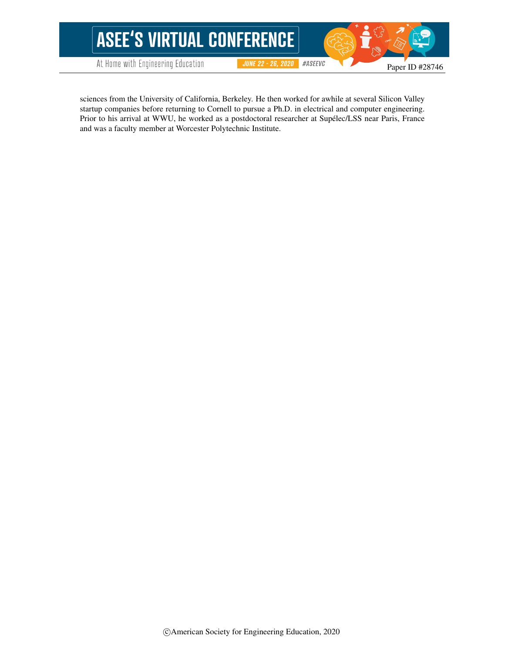

sciences from the University of California, Berkeley. He then worked for awhile at several Silicon Valley startup companies before returning to Cornell to pursue a Ph.D. in electrical and computer engineering. Prior to his arrival at WWU, he worked as a postdoctoral researcher at Supelec/LSS near Paris, France and was a faculty member at Worcester Polytechnic Institute.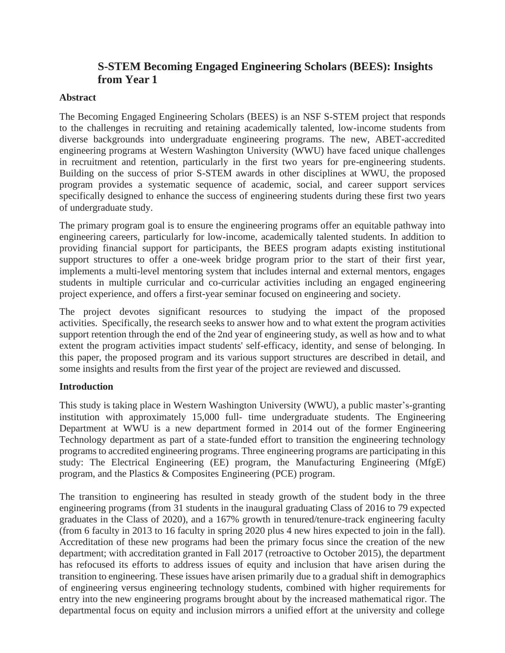# **S-STEM Becoming Engaged Engineering Scholars (BEES): Insights from Year 1**

### **Abstract**

The Becoming Engaged Engineering Scholars (BEES) is an NSF S-STEM project that responds to the challenges in recruiting and retaining academically talented, low-income students from diverse backgrounds into undergraduate engineering programs. The new, ABET-accredited engineering programs at Western Washington University (WWU) have faced unique challenges in recruitment and retention, particularly in the first two years for pre-engineering students. Building on the success of prior S-STEM awards in other disciplines at WWU, the proposed program provides a systematic sequence of academic, social, and career support services specifically designed to enhance the success of engineering students during these first two years of undergraduate study.

The primary program goal is to ensure the engineering programs offer an equitable pathway into engineering careers, particularly for low-income, academically talented students. In addition to providing financial support for participants, the BEES program adapts existing institutional support structures to offer a one-week bridge program prior to the start of their first year, implements a multi-level mentoring system that includes internal and external mentors, engages students in multiple curricular and co-curricular activities including an engaged engineering project experience, and offers a first-year seminar focused on engineering and society.

The project devotes significant resources to studying the impact of the proposed activities. Specifically, the research seeks to answer how and to what extent the program activities support retention through the end of the 2nd year of engineering study, as well as how and to what extent the program activities impact students' self-efficacy, identity, and sense of belonging. In this paper, the proposed program and its various support structures are described in detail, and some insights and results from the first year of the project are reviewed and discussed.

### **Introduction**

This study is taking place in Western Washington University (WWU), a public master's-granting institution with approximately 15,000 full- time undergraduate students. The Engineering Department at WWU is a new department formed in 2014 out of the former Engineering Technology department as part of a state-funded effort to transition the engineering technology programs to accredited engineering programs. Three engineering programs are participating in this study: The Electrical Engineering (EE) program, the Manufacturing Engineering (MfgE) program, and the Plastics & Composites Engineering (PCE) program.

The transition to engineering has resulted in steady growth of the student body in the three engineering programs (from 31 students in the inaugural graduating Class of 2016 to 79 expected graduates in the Class of 2020), and a 167% growth in tenured/tenure-track engineering faculty (from 6 faculty in 2013 to 16 faculty in spring 2020 plus 4 new hires expected to join in the fall). Accreditation of these new programs had been the primary focus since the creation of the new department; with accreditation granted in Fall 2017 (retroactive to October 2015), the department has refocused its efforts to address issues of equity and inclusion that have arisen during the transition to engineering. These issues have arisen primarily due to a gradual shift in demographics of engineering versus engineering technology students, combined with higher requirements for entry into the new engineering programs brought about by the increased mathematical rigor. The departmental focus on equity and inclusion mirrors a unified effort at the university and college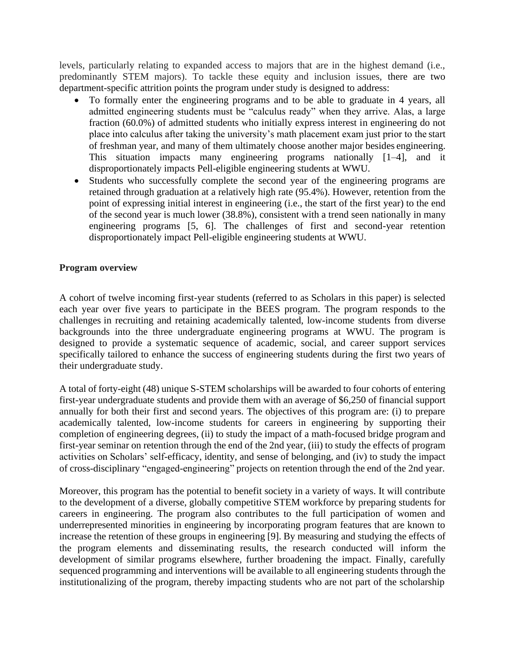levels, particularly relating to expanded access to majors that are in the highest demand (i.e., predominantly STEM majors). To tackle these equity and inclusion issues, there are two department-specific attrition points the program under study is designed to address:

- To formally enter the engineering programs and to be able to graduate in 4 years, all admitted engineering students must be "calculus ready" when they arrive. Alas, a large fraction (60.0%) of admitted students who initially express interest in engineering do not place into calculus after taking the university's math placement exam just prior to the start of freshman year, and many of them ultimately choose another major besides engineering. This situation impacts many engineering programs nationally [1–4], and it disproportionately impacts Pell-eligible engineering students at WWU.
- Students who successfully complete the second year of the engineering programs are retained through graduation at a relatively high rate (95.4%). However, retention from the point of expressing initial interest in engineering (i.e., the start of the first year) to the end of the second year is much lower (38.8%), consistent with a trend seen nationally in many engineering programs [5, 6]. The challenges of first and second-year retention disproportionately impact Pell-eligible engineering students at WWU.

### **Program overview**

A cohort of twelve incoming first-year students (referred to as Scholars in this paper) is selected each year over five years to participate in the BEES program. The program responds to the challenges in recruiting and retaining academically talented, low-income students from diverse backgrounds into the three undergraduate engineering programs at WWU. The program is designed to provide a systematic sequence of academic, social, and career support services specifically tailored to enhance the success of engineering students during the first two years of their undergraduate study.

A total of forty-eight (48) unique S-STEM scholarships will be awarded to four cohorts of entering first-year undergraduate students and provide them with an average of \$6,250 of financial support annually for both their first and second years. The objectives of this program are: (i) to prepare academically talented, low-income students for careers in engineering by supporting their completion of engineering degrees, (ii) to study the impact of a math-focused bridge program and first-year seminar on retention through the end of the 2nd year, (iii) to study the effects of program activities on Scholars' self-efficacy, identity, and sense of belonging, and (iv) to study the impact of cross-disciplinary "engaged-engineering" projects on retention through the end of the 2nd year.

Moreover, this program has the potential to benefit society in a variety of ways. It will contribute to the development of a diverse, globally competitive STEM workforce by preparing students for careers in engineering. The program also contributes to the full participation of women and underrepresented minorities in engineering by incorporating program features that are known to increase the retention of these groups in engineering [9]. By measuring and studying the effects of the program elements and disseminating results, the research conducted will inform the development of similar programs elsewhere, further broadening the impact. Finally, carefully sequenced programming and interventions will be available to all engineering students through the institutionalizing of the program, thereby impacting students who are not part of the scholarship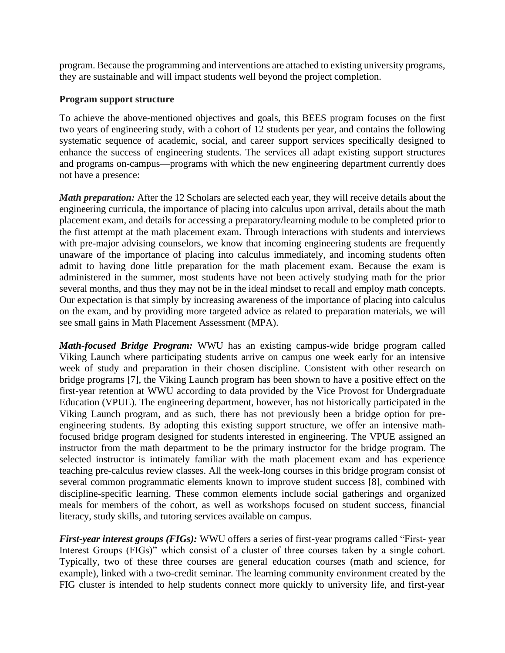program. Because the programming and interventions are attached to existing university programs, they are sustainable and will impact students well beyond the project completion.

### **Program support structure**

To achieve the above-mentioned objectives and goals, this BEES program focuses on the first two years of engineering study, with a cohort of 12 students per year, and contains the following systematic sequence of academic, social, and career support services specifically designed to enhance the success of engineering students. The services all adapt existing support structures and programs on-campus—programs with which the new engineering department currently does not have a presence:

*Math preparation:* After the 12 Scholars are selected each year, they will receive details about the engineering curricula, the importance of placing into calculus upon arrival, details about the math placement exam, and details for accessing a preparatory/learning module to be completed prior to the first attempt at the math placement exam. Through interactions with students and interviews with pre-major advising counselors, we know that incoming engineering students are frequently unaware of the importance of placing into calculus immediately, and incoming students often admit to having done little preparation for the math placement exam. Because the exam is administered in the summer, most students have not been actively studying math for the prior several months, and thus they may not be in the ideal mindset to recall and employ math concepts. Our expectation is that simply by increasing awareness of the importance of placing into calculus on the exam, and by providing more targeted advice as related to preparation materials, we will see small gains in Math Placement Assessment (MPA).

*Math-focused Bridge Program:* WWU has an existing campus-wide bridge program called Viking Launch where participating students arrive on campus one week early for an intensive week of study and preparation in their chosen discipline. Consistent with other research on bridge programs [7], the Viking Launch program has been shown to have a positive effect on the first-year retention at WWU according to data provided by the Vice Provost for Undergraduate Education (VPUE). The engineering department, however, has not historically participated in the Viking Launch program, and as such, there has not previously been a bridge option for preengineering students. By adopting this existing support structure, we offer an intensive mathfocused bridge program designed for students interested in engineering. The VPUE assigned an instructor from the math department to be the primary instructor for the bridge program. The selected instructor is intimately familiar with the math placement exam and has experience teaching pre-calculus review classes. All the week-long courses in this bridge program consist of several common programmatic elements known to improve student success [8], combined with discipline-specific learning. These common elements include social gatherings and organized meals for members of the cohort, as well as workshops focused on student success, financial literacy, study skills, and tutoring services available on campus.

*First-year interest groups (FIGs):* WWU offers a series of first-year programs called "First- year Interest Groups (FIGs)" which consist of a cluster of three courses taken by a single cohort. Typically, two of these three courses are general education courses (math and science, for example), linked with a two-credit seminar. The learning community environment created by the FIG cluster is intended to help students connect more quickly to university life, and first-year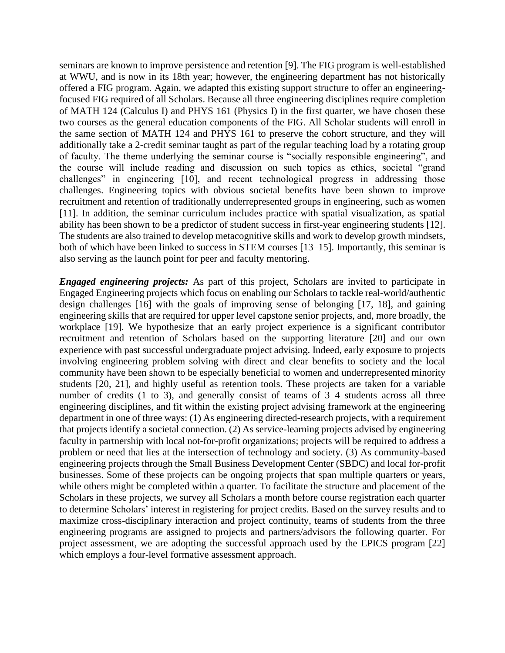seminars are known to improve persistence and retention [9]. The FIG program is well-established at WWU, and is now in its 18th year; however, the engineering department has not historically offered a FIG program. Again, we adapted this existing support structure to offer an engineeringfocused FIG required of all Scholars. Because all three engineering disciplines require completion of MATH 124 (Calculus I) and PHYS 161 (Physics I) in the first quarter, we have chosen these two courses as the general education components of the FIG. All Scholar students will enroll in the same section of MATH 124 and PHYS 161 to preserve the cohort structure, and they will additionally take a 2-credit seminar taught as part of the regular teaching load by a rotating group of faculty. The theme underlying the seminar course is "socially responsible engineering", and the course will include reading and discussion on such topics as ethics, societal "grand challenges" in engineering [10], and recent technological progress in addressing those challenges. Engineering topics with obvious societal benefits have been shown to improve recruitment and retention of traditionally underrepresented groups in engineering, such as women [11]. In addition, the seminar curriculum includes practice with spatial visualization, as spatial ability has been shown to be a predictor of student success in first-year engineering students [12]. The students are also trained to develop metacognitive skills and work to develop growth mindsets, both of which have been linked to success in STEM courses [13–15]. Importantly, this seminar is also serving as the launch point for peer and faculty mentoring.

*Engaged engineering projects:* As part of this project, Scholars are invited to participate in Engaged Engineering projects which focus on enabling our Scholars to tackle real-world/authentic design challenges [16] with the goals of improving sense of belonging [17, 18], and gaining engineering skills that are required for upper level capstone senior projects, and, more broadly, the workplace [19]. We hypothesize that an early project experience is a significant contributor recruitment and retention of Scholars based on the supporting literature [20] and our own experience with past successful undergraduate project advising. Indeed, early exposure to projects involving engineering problem solving with direct and clear benefits to society and the local community have been shown to be especially beneficial to women and underrepresented minority students [20, 21], and highly useful as retention tools. These projects are taken for a variable number of credits (1 to 3), and generally consist of teams of 3–4 students across all three engineering disciplines, and fit within the existing project advising framework at the engineering department in one of three ways: (1) As engineering directed-research projects, with a requirement that projects identify a societal connection. (2) As service-learning projects advised by engineering faculty in partnership with local not-for-profit organizations; projects will be required to address a problem or need that lies at the intersection of technology and society. (3) As community-based engineering projects through the Small Business Development Center (SBDC) and local for-profit businesses. Some of these projects can be ongoing projects that span multiple quarters or years, while others might be completed within a quarter. To facilitate the structure and placement of the Scholars in these projects, we survey all Scholars a month before course registration each quarter to determine Scholars' interest in registering for project credits. Based on the survey results and to maximize cross-disciplinary interaction and project continuity, teams of students from the three engineering programs are assigned to projects and partners/advisors the following quarter. For project assessment, we are adopting the successful approach used by the EPICS program [22] which employs a four-level formative assessment approach.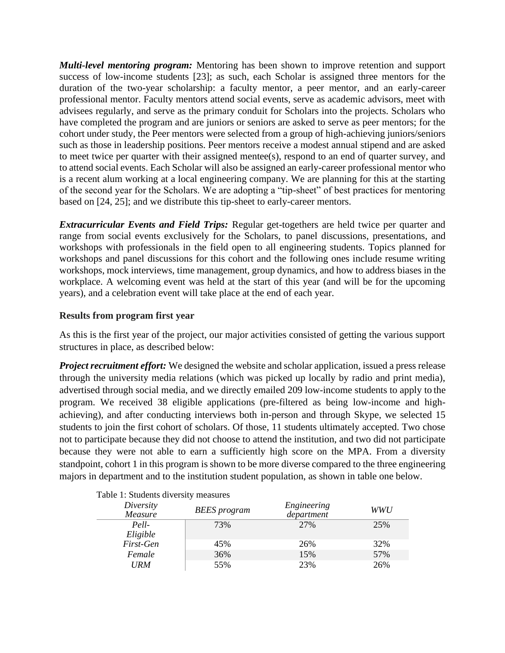*Multi-level mentoring program:* Mentoring has been shown to improve retention and support success of low-income students [23]; as such, each Scholar is assigned three mentors for the duration of the two-year scholarship: a faculty mentor, a peer mentor, and an early-career professional mentor. Faculty mentors attend social events, serve as academic advisors, meet with advisees regularly, and serve as the primary conduit for Scholars into the projects. Scholars who have completed the program and are juniors or seniors are asked to serve as peer mentors; for the cohort under study, the Peer mentors were selected from a group of high-achieving juniors/seniors such as those in leadership positions. Peer mentors receive a modest annual stipend and are asked to meet twice per quarter with their assigned mentee(s), respond to an end of quarter survey, and to attend social events. Each Scholar will also be assigned an early-career professional mentor who is a recent alum working at a local engineering company. We are planning for this at the starting of the second year for the Scholars. We are adopting a "tip-sheet" of best practices for mentoring based on [24, 25]; and we distribute this tip-sheet to early-career mentors.

*Extracurricular Events and Field Trips:* Regular get-togethers are held twice per quarter and range from social events exclusively for the Scholars, to panel discussions, presentations, and workshops with professionals in the field open to all engineering students. Topics planned for workshops and panel discussions for this cohort and the following ones include resume writing workshops, mock interviews, time management, group dynamics, and how to address biases in the workplace. A welcoming event was held at the start of this year (and will be for the upcoming years), and a celebration event will take place at the end of each year.

### **Results from program first year**

As this is the first year of the project, our major activities consisted of getting the various support structures in place, as described below:

*Project recruitment effort:* We designed the website and scholar application, issued a press release through the university media relations (which was picked up locally by radio and print media), advertised through social media, and we directly emailed 209 low-income students to apply to the program. We received 38 eligible applications (pre-filtered as being low-income and highachieving), and after conducting interviews both in-person and through Skype, we selected 15 students to join the first cohort of scholars. Of those, 11 students ultimately accepted. Two chose not to participate because they did not choose to attend the institution, and two did not participate because they were not able to earn a sufficiently high score on the MPA. From a diversity standpoint, cohort 1 in this program is shown to be more diverse compared to the three engineering majors in department and to the institution student population, as shown in table one below.

| Diversity<br>Measure | <b>BEES</b> program | Engineering<br>department | <b>WWU</b> |
|----------------------|---------------------|---------------------------|------------|
| Pell-                | 73%                 | 27%                       | 25%        |
| Eligible             |                     |                           |            |
| First-Gen            | 45%                 | 26%                       | 32%        |
| Female               | 36%                 | 15%                       | 57%        |
| <b>URM</b>           | 55%                 | 23%                       | 26%        |

Table 1: Students diversity measures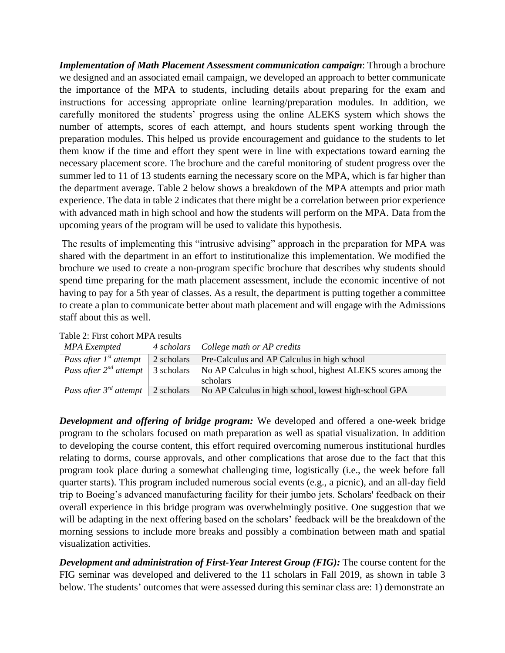*Implementation of Math Placement Assessment communication campaign*: Through a brochure we designed and an associated email campaign, we developed an approach to better communicate the importance of the MPA to students, including details about preparing for the exam and instructions for accessing appropriate online learning/preparation modules. In addition, we carefully monitored the students' progress using the online ALEKS system which shows the number of attempts, scores of each attempt, and hours students spent working through the preparation modules. This helped us provide encouragement and guidance to the students to let them know if the time and effort they spent were in line with expectations toward earning the necessary placement score. The brochure and the careful monitoring of student progress over the summer led to 11 of 13 students earning the necessary score on the MPA, which is far higher than the department average. Table 2 below shows a breakdown of the MPA attempts and prior math experience. The data in table 2 indicates that there might be a correlation between prior experience with advanced math in high school and how the students will perform on the MPA. Data from the upcoming years of the program will be used to validate this hypothesis.

The results of implementing this "intrusive advising" approach in the preparation for MPA was shared with the department in an effort to institutionalize this implementation. We modified the brochure we used to create a non-program specific brochure that describes why students should spend time preparing for the math placement assessment, include the economic incentive of not having to pay for a 5th year of classes. As a result, the department is putting together a committee to create a plan to communicate better about math placement and will engage with the Admissions staff about this as well.

| Table 2: First cohort MPA results |  |
|-----------------------------------|--|
|-----------------------------------|--|

| MPA Exempted | 4 scholars College math or AP credits                                                                                |
|--------------|----------------------------------------------------------------------------------------------------------------------|
|              | <i>Pass after 1st attempt</i> 2 scholars Pre-Calculus and AP Calculus in high school                                 |
|              | <i>Pass after</i> $2^{nd}$ <i>attempt</i>   3 scholars No AP Calculus in high school, highest ALEKS scores among the |
|              | scholars                                                                                                             |
|              | <i>Pass after 3<sup>rd</sup> attempt</i> 2 scholars No AP Calculus in high school, lowest high-school GPA            |

*Development and offering of bridge program:* We developed and offered a one-week bridge program to the scholars focused on math preparation as well as spatial visualization. In addition to developing the course content, this effort required overcoming numerous institutional hurdles relating to dorms, course approvals, and other complications that arose due to the fact that this program took place during a somewhat challenging time, logistically (i.e., the week before fall quarter starts). This program included numerous social events (e.g., a picnic), and an all-day field trip to Boeing's advanced manufacturing facility for their jumbo jets. Scholars' feedback on their overall experience in this bridge program was overwhelmingly positive. One suggestion that we will be adapting in the next offering based on the scholars' feedback will be the breakdown of the morning sessions to include more breaks and possibly a combination between math and spatial visualization activities.

*Development and administration of First-Year Interest Group (FIG):* The course content for the FIG seminar was developed and delivered to the 11 scholars in Fall 2019, as shown in table 3 below. The students' outcomes that were assessed during this seminar class are: 1) demonstrate an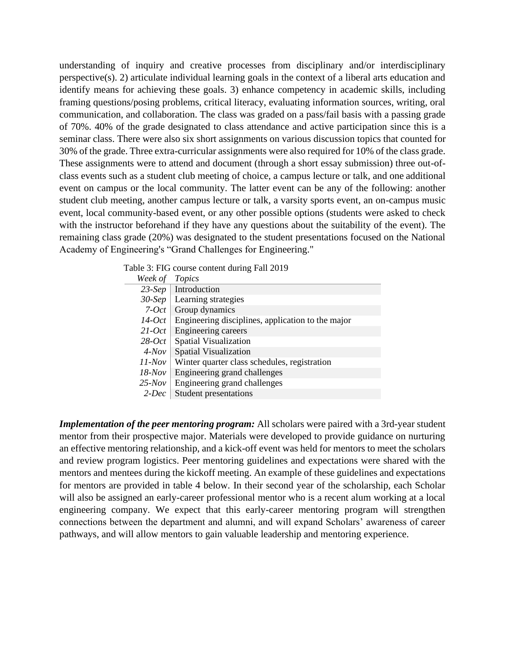understanding of inquiry and creative processes from disciplinary and/or interdisciplinary perspective(s). 2) articulate individual learning goals in the context of a liberal arts education and identify means for achieving these goals. 3) enhance competency in academic skills, including framing questions/posing problems, critical literacy, evaluating information sources, writing, oral communication, and collaboration. The class was graded on a pass/fail basis with a passing grade of 70%. 40% of the grade designated to class attendance and active participation since this is a seminar class. There were also six short assignments on various discussion topics that counted for 30% of the grade. Three extra-curricular assignments were also required for 10% of the class grade. These assignments were to attend and document (through a short essay submission) three out-ofclass events such as a student club meeting of choice, a campus lecture or talk, and one additional event on campus or the local community. The latter event can be any of the following: another student club meeting, another campus lecture or talk, a varsity sports event, an on-campus music event, local community-based event, or any other possible options (students were asked to check with the instructor beforehand if they have any questions about the suitability of the event). The remaining class grade (20%) was designated to the student presentations focused on the National Academy of Engineering's "Grand Challenges for Engineering."

| Week of Topics |                                                   |
|----------------|---------------------------------------------------|
| $23-Sep$       | Introduction                                      |
| $30-Sep$       | Learning strategies                               |
| $7-Oct$        | Group dynamics                                    |
| $14$ -Oct      | Engineering disciplines, application to the major |
| $21$ -Oct      | Engineering careers                               |
| $28-Oct$       | <b>Spatial Visualization</b>                      |
| $4$ -Nov       | <b>Spatial Visualization</b>                      |
| $11$ -Nov      | Winter quarter class schedules, registration      |
| $18$ -Nov      | Engineering grand challenges                      |
| $25$ -Nov      | Engineering grand challenges                      |
| $2-Dec$        | <b>Student presentations</b>                      |
|                |                                                   |

Table 3: FIG course content during Fall 2019

*Implementation of the peer mentoring program:* All scholars were paired with a 3rd-year student mentor from their prospective major. Materials were developed to provide guidance on nurturing an effective mentoring relationship, and a kick-off event was held for mentors to meet the scholars and review program logistics. Peer mentoring guidelines and expectations were shared with the mentors and mentees during the kickoff meeting. An example of these guidelines and expectations for mentors are provided in table 4 below. In their second year of the scholarship, each Scholar will also be assigned an early-career professional mentor who is a recent alum working at a local engineering company. We expect that this early-career mentoring program will strengthen connections between the department and alumni, and will expand Scholars' awareness of career pathways, and will allow mentors to gain valuable leadership and mentoring experience.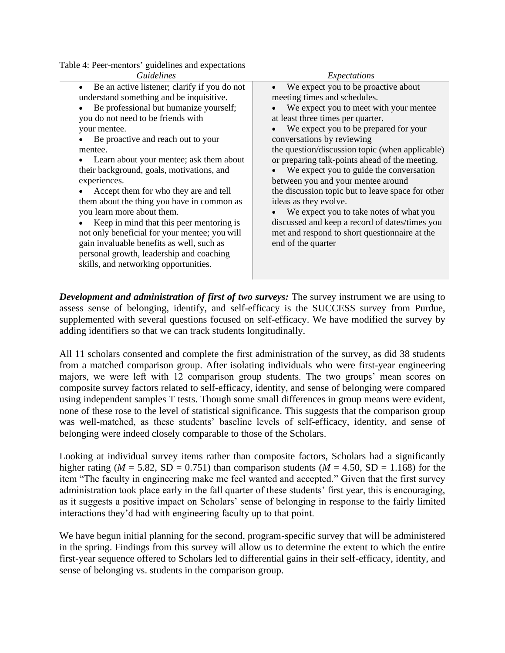Table 4: Peer-mentors' guidelines and expectations

skills, and networking opportunities.

| Table 4: Peer-mentors' guidelines and expectations        |                                                   |  |
|-----------------------------------------------------------|---------------------------------------------------|--|
| <i>Guidelines</i>                                         | Expectations                                      |  |
| Be an active listener; clarify if you do not<br>$\bullet$ | We expect you to be proactive about<br>$\bullet$  |  |
| understand something and be inquisitive.                  | meeting times and schedules.                      |  |
| Be professional but humanize yourself;                    | We expect you to meet with your mentee            |  |
| you do not need to be friends with                        | at least three times per quarter.                 |  |
| your mentee.                                              | We expect you to be prepared for your             |  |
| Be proactive and reach out to your                        | conversations by reviewing                        |  |
| mentee.                                                   | the question/discussion topic (when applicable)   |  |
| Learn about your mentee; ask them about                   | or preparing talk-points ahead of the meeting.    |  |
| their background, goals, motivations, and                 | We expect you to guide the conversation           |  |
| experiences.                                              | between you and your mentee around                |  |
| Accept them for who they are and tell                     | the discussion topic but to leave space for other |  |
| them about the thing you have in common as                | ideas as they evolve.                             |  |
| you learn more about them.                                | We expect you to take notes of what you           |  |
| Keep in mind that this peer mentoring is                  | discussed and keep a record of dates/times you    |  |
| not only beneficial for your mentee; you will             | met and respond to short questionnaire at the     |  |
| gain invaluable benefits as well, such as                 | end of the quarter                                |  |
| personal growth, leadership and coaching                  |                                                   |  |

*Development and administration of first of two surveys:* The survey instrument we are using to assess sense of belonging, identify, and self-efficacy is the SUCCESS survey from Purdue, supplemented with several questions focused on self-efficacy. We have modified the survey by adding identifiers so that we can track students longitudinally.

All 11 scholars consented and complete the first administration of the survey, as did 38 students from a matched comparison group. After isolating individuals who were first-year engineering majors, we were left with 12 comparison group students. The two groups' mean scores on composite survey factors related to self-efficacy, identity, and sense of belonging were compared using independent samples T tests. Though some small differences in group means were evident, none of these rose to the level of statistical significance. This suggests that the comparison group was well-matched, as these students' baseline levels of self-efficacy, identity, and sense of belonging were indeed closely comparable to those of the Scholars.

Looking at individual survey items rather than composite factors, Scholars had a significantly higher rating ( $M = 5.82$ , SD = 0.751) than comparison students ( $M = 4.50$ , SD = 1.168) for the item "The faculty in engineering make me feel wanted and accepted." Given that the first survey administration took place early in the fall quarter of these students' first year, this is encouraging, as it suggests a positive impact on Scholars' sense of belonging in response to the fairly limited interactions they'd had with engineering faculty up to that point.

We have begun initial planning for the second, program-specific survey that will be administered in the spring. Findings from this survey will allow us to determine the extent to which the entire first-year sequence offered to Scholars led to differential gains in their self-efficacy, identity, and sense of belonging vs. students in the comparison group.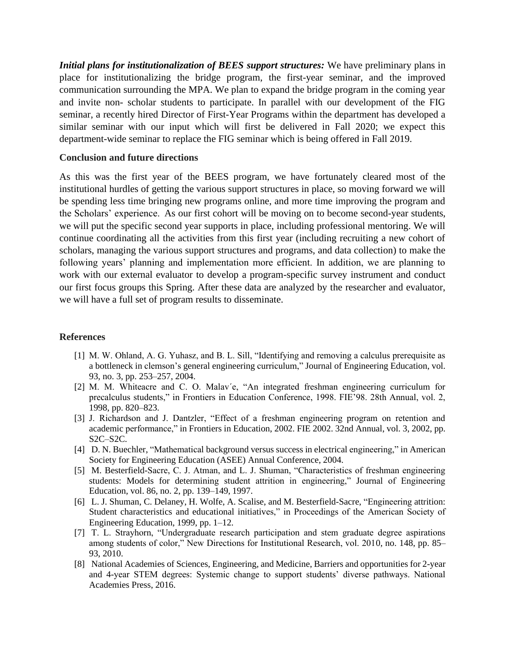*Initial plans for institutionalization of BEES support structures:* We have preliminary plans in place for institutionalizing the bridge program, the first-year seminar, and the improved communication surrounding the MPA. We plan to expand the bridge program in the coming year and invite non- scholar students to participate. In parallel with our development of the FIG seminar, a recently hired Director of First-Year Programs within the department has developed a similar seminar with our input which will first be delivered in Fall 2020; we expect this department-wide seminar to replace the FIG seminar which is being offered in Fall 2019.

### **Conclusion and future directions**

As this was the first year of the BEES program, we have fortunately cleared most of the institutional hurdles of getting the various support structures in place, so moving forward we will be spending less time bringing new programs online, and more time improving the program and the Scholars' experience. As our first cohort will be moving on to become second-year students, we will put the specific second year supports in place, including professional mentoring. We will continue coordinating all the activities from this first year (including recruiting a new cohort of scholars, managing the various support structures and programs, and data collection) to make the following years' planning and implementation more efficient. In addition, we are planning to work with our external evaluator to develop a program-specific survey instrument and conduct our first focus groups this Spring. After these data are analyzed by the researcher and evaluator, we will have a full set of program results to disseminate.

#### **References**

- [1] M. W. Ohland, A. G. Yuhasz, and B. L. Sill, "Identifying and removing a calculus prerequisite as a bottleneck in clemson's general engineering curriculum," Journal of Engineering Education, vol. 93, no. 3, pp. 253–257, 2004.
- [2] M. M. Whiteacre and C. O. Malav´e, "An integrated freshman engineering curriculum for precalculus students," in Frontiers in Education Conference, 1998. FIE'98. 28th Annual, vol. 2, 1998, pp. 820–823.
- [3] J. Richardson and J. Dantzler, "Effect of a freshman engineering program on retention and academic performance," in Frontiers in Education, 2002. FIE 2002. 32nd Annual, vol. 3, 2002, pp. S2C–S2C.
- [4] D. N. Buechler, "Mathematical background versus success in electrical engineering," in American Society for Engineering Education (ASEE) Annual Conference, 2004.
- [5] M. Besterfield-Sacre, C. J. Atman, and L. J. Shuman, "Characteristics of freshman engineering students: Models for determining student attrition in engineering," Journal of Engineering Education, vol. 86, no. 2, pp. 139–149, 1997.
- [6] L. J. Shuman, C. Delaney, H. Wolfe, A. Scalise, and M. Besterfield-Sacre, "Engineering attrition: Student characteristics and educational initiatives," in Proceedings of the American Society of Engineering Education, 1999, pp. 1–12.
- [7] T. L. Strayhorn, "Undergraduate research participation and stem graduate degree aspirations among students of color," New Directions for Institutional Research, vol. 2010, no. 148, pp. 85– 93, 2010.
- [8] National Academies of Sciences, Engineering, and Medicine, Barriers and opportunities for 2-year and 4-year STEM degrees: Systemic change to support students' diverse pathways. National Academies Press, 2016.